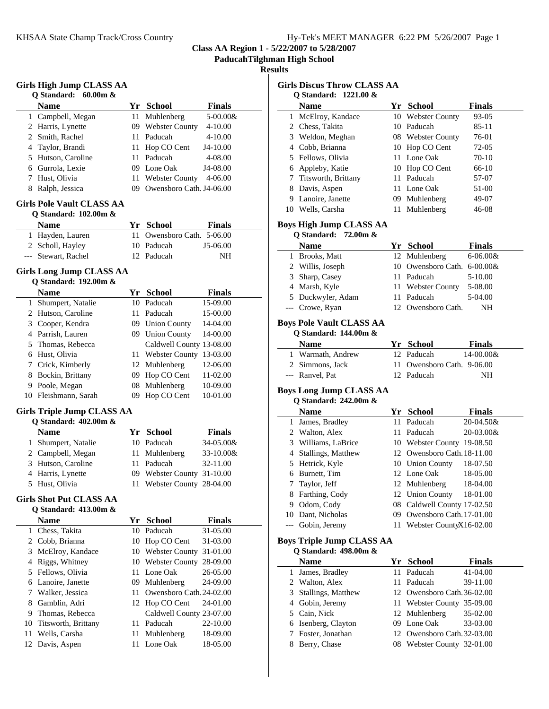|  | Hy-Tek's MEET MANAGER 6:22 PM 5/26/2007 Page 1 |  |  |
|--|------------------------------------------------|--|--|
|  |                                                |  |  |

**Class AA Region 1 - 5/22/2007 to 5/28/2007**

**PaducahTilghman High School**

## **Results**

| <b>Girls High Jump CLASS AA</b><br>Q Standard:<br>$60.00m$ & |                                                   |      |                                  |                      |  |  |
|--------------------------------------------------------------|---------------------------------------------------|------|----------------------------------|----------------------|--|--|
|                                                              | Name                                              |      | Yr School                        | <b>Finals</b>        |  |  |
|                                                              | 1 Campbell, Megan                                 | 11 - | Muhlenberg                       | 5-00.00&             |  |  |
|                                                              | 2 Harris, Lynette                                 |      | 09 Webster County                | $4 - 10.00$          |  |  |
| 2                                                            | Smith, Rachel                                     |      | 11 Paducah                       | 4-10.00              |  |  |
| 4                                                            | Taylor, Brandi                                    |      | 11 Hop CO Cent                   | J4-10.00             |  |  |
| 5                                                            | Hutson, Caroline                                  |      | 11 Paducah                       | 4-08.00              |  |  |
|                                                              | 6 Gurrola, Lexie                                  |      | 09 Lone Oak                      | J4-08.00             |  |  |
| 7                                                            | Hust, Olivia                                      |      | 11 Webster County                | 4-06.00              |  |  |
| 8                                                            | Ralph, Jessica                                    |      | 09 Owensboro Cath. J4-06.00      |                      |  |  |
| <b>Girls Pole Vault CLASS AA</b><br>Q Standard: 102.00m &    |                                                   |      |                                  |                      |  |  |
|                                                              | Name                                              |      | Yr School                        | <b>Finals</b>        |  |  |
|                                                              | 1 Hayden, Lauren                                  | 11   | Owensboro Cath. 5-06.00          |                      |  |  |
|                                                              | 2 Scholl, Hayley                                  |      | 10 Paducah                       | J5-06.00             |  |  |
| ---                                                          | Stewart, Rachel                                   |      | 12 Paducah                       | NH                   |  |  |
|                                                              | Girls Long Jump CLASS AA<br>Q Standard: 192.00m & |      |                                  |                      |  |  |
|                                                              | <b>Name</b>                                       |      | Yr School                        | <b>Finals</b>        |  |  |
| 1                                                            | Shumpert, Natalie                                 |      | 10 Paducah                       | 15-09.00             |  |  |
|                                                              | 2 Hutson, Caroline                                |      | 11 Paducah                       | 15-00.00             |  |  |
| 3                                                            | Cooper, Kendra                                    |      | 09 Union County                  | 14-04.00             |  |  |
|                                                              | 4 Parrish, Lauren                                 |      | 09 Union County                  | 14-00.00             |  |  |
|                                                              | 5 Thomas, Rebecca                                 |      | Caldwell County 13-08.00         |                      |  |  |
|                                                              | 6 Hust, Olivia                                    |      | 11 Webster County                | 13-03.00             |  |  |
|                                                              | 7 Crick, Kimberly                                 |      | 12 Muhlenberg                    | 12-06.00             |  |  |
| 8                                                            | Bockin, Brittany                                  |      | 09 Hop CO Cent                   | 11-02.00             |  |  |
|                                                              | 9 Poole, Megan                                    |      | 08 Muhlenberg                    | 10-09.00             |  |  |
|                                                              | 10 Fleishmann, Sarah                              | 09   | Hop CO Cent                      | 10-01.00             |  |  |
|                                                              | Girls Triple Jump CLASS AA                        |      |                                  |                      |  |  |
|                                                              | Q Standard: 402.00m &                             |      |                                  |                      |  |  |
|                                                              | <b>Name</b>                                       |      | Yr School                        | <b>Finals</b>        |  |  |
| $\mathbf{1}$                                                 | Shumpert, Natalie                                 |      | 10 Paducah                       | 34-05.00&            |  |  |
| 2                                                            | Campbell, Megan                                   | 11   | Muhlenberg                       | 33-10.00&            |  |  |
| 3                                                            | Hutson, Caroline                                  |      | 11 Paducah                       | 32-11.00             |  |  |
| 4                                                            | Harris, Lynette                                   |      | 09 Webster County 31-10.00       |                      |  |  |
|                                                              | 5 Hust, Olivia                                    |      | 11 Webster County 28-04.00       |                      |  |  |
| <b>Girls Shot Put CLASS AA</b>                               |                                                   |      |                                  |                      |  |  |
|                                                              | Q Standard: 413.00m &<br><b>Name</b>              |      | Yr School                        | <b>Finals</b>        |  |  |
| 1                                                            | Chess, Takita                                     | 10   | Paducah                          | 31-05.00             |  |  |
| 2                                                            | Cobb, Brianna                                     |      | 10 Hop CO Cent                   | 31-03.00             |  |  |
| 3                                                            | McElroy, Kandace                                  |      | 10 Webster County                | 31-01.00             |  |  |
|                                                              |                                                   |      |                                  |                      |  |  |
| 4<br>5                                                       | Riggs, Whitney<br>Fellows, Olivia                 |      | 10 Webster County<br>11 Lone Oak | 28-09.00<br>26-05.00 |  |  |
|                                                              |                                                   |      |                                  | 24-09.00             |  |  |
| 6                                                            | Lanoire, Janette                                  |      | 09 Muhlenberg                    |                      |  |  |
| 7                                                            | Walker, Jessica                                   |      | 11 Owensboro Cath. 24-02.00      |                      |  |  |
| 8                                                            | Gamblin, Adri                                     |      | 12 Hop CO Cent                   | 24-01.00             |  |  |
| 9                                                            | Thomas, Rebecca                                   |      | Caldwell County 23-07.00         |                      |  |  |
| 10                                                           | Titsworth, Brittany                               | 11   | Paducah                          | 22-10.00             |  |  |
| 11                                                           | Wells, Carsha                                     | 11   | Muhlenberg                       | 18-09.00             |  |  |
| 12                                                           | Davis, Aspen                                      | 11   | Lone Oak                         | 18-05.00             |  |  |

| <b>Girls Discus Throw CLASS AA</b><br>Q Standard: 1221.00 & |                                                                                |      |                              |                |  |
|-------------------------------------------------------------|--------------------------------------------------------------------------------|------|------------------------------|----------------|--|
|                                                             | Name                                                                           |      | Yr School                    | Finals         |  |
|                                                             | 1 McElroy, Kandace                                                             |      | 10 Webster County            | 93-05          |  |
|                                                             | 2 Chess, Takita                                                                |      | 10 Paducah                   | 85-11          |  |
|                                                             | 3 Weldon, Meghan                                                               |      | 08 Webster County            | 76-01          |  |
|                                                             | 4 Cobb, Brianna                                                                |      | 10 Hop CO Cent               | 72-05          |  |
|                                                             | 5 Fellows, Olivia                                                              |      | 11 Lone Oak                  | 70-10          |  |
|                                                             |                                                                                |      |                              | 66-10          |  |
|                                                             | 6 Appleby, Katie<br>7 Titsworth, Brittany                                      |      | 10 Hop CO Cent<br>11 Paducah |                |  |
|                                                             |                                                                                |      |                              | 57-07          |  |
|                                                             | 8 Davis, Aspen<br>9 Lanoire, Janette                                           |      | 11 Lone Oak<br>09 Muhlenberg | 51-00<br>49-07 |  |
|                                                             |                                                                                |      |                              |                |  |
|                                                             | 10 Wells, Carsha                                                               |      | 11 Muhlenberg                | 46-08          |  |
|                                                             | <b>Boys High Jump CLASS AA</b><br>Q Standard:<br>72.00m &                      |      |                              |                |  |
|                                                             | <b>Name</b>                                                                    |      | Yr School                    | <b>Finals</b>  |  |
|                                                             | 1 Brooks, Matt                                                                 |      | 12 Muhlenberg                | $6 - 06.00 &$  |  |
|                                                             | 2 Willis, Joseph                                                               |      | 10 Owensboro Cath. 6-00.00&  |                |  |
|                                                             | 3 Sharp, Casey                                                                 |      | 11 Paducah                   | 5-10.00        |  |
|                                                             | 4 Marsh, Kyle                                                                  |      | 11 Webster County            | 5-08.00        |  |
|                                                             | 5 Duckwyler, Adam                                                              |      | 11 Paducah                   | 5-04.00        |  |
|                                                             | --- Crowe, Ryan                                                                |      | 12 Owensboro Cath.           | NH             |  |
|                                                             | <b>Boys Pole Vault CLASS AA</b><br><b>Q</b> Standard: 144.00m &<br><b>Name</b> |      | Yr School                    | Finals         |  |
|                                                             | 1 Warmath, Andrew                                                              |      | 12 Paducah                   | 14-00.00&      |  |
|                                                             | 2 Simmons, Jack                                                                | 11.  | Owensboro Cath. 9-06.00      |                |  |
|                                                             | --- Ranvel, Pat                                                                |      | 12 Paducah                   | NΗ             |  |
|                                                             | <b>Boys Long Jump CLASS AA</b><br>Q Standard: 242.00m &<br><b>Name</b>         |      | Yr School                    | Finals         |  |
|                                                             | 1 James, Bradley                                                               |      | 11 Paducah                   | 20-04.50&      |  |
|                                                             | 2 Walton, Alex                                                                 |      | 11 Paducah                   | 20-03.00&      |  |
|                                                             | 3 Williams, LaBrice                                                            |      | 10 Webster County 19-08.50   |                |  |
|                                                             | 4 Stallings, Matthew                                                           |      | 12 Owensboro Cath. 18-11.00  |                |  |
|                                                             | 5 Hetrick, Kyle                                                                |      | 10 Union County              | 18-07.50       |  |
|                                                             | 6 Burnett, Tim                                                                 |      | 12 Lone Oak                  | 18-05.00       |  |
| 7                                                           | Taylor, Jeff                                                                   |      | 12 Muhlenberg                | 18-04.00       |  |
|                                                             | 8 Farthing, Cody                                                               |      | 12 Union County              | 18-01.00       |  |
|                                                             | 9 Odom, Cody                                                                   |      | 08 Caldwell County 17-02.50  |                |  |
|                                                             | 10 Dant, Nicholas                                                              |      | 09 Owensboro Cath. 17-01.00  |                |  |
| ---                                                         | Gobin, Jeremy                                                                  | 11   |                              |                |  |
| Webster CountyX16-02.00<br><b>Boys Triple Jump CLASS AA</b> |                                                                                |      |                              |                |  |
|                                                             | Q Standard: 498.00m &                                                          |      |                              |                |  |
|                                                             | <b>Name</b>                                                                    |      | Yr School<br>Paducah         | <b>Finals</b>  |  |
|                                                             | 1 James, Bradley                                                               | 11   |                              | 41-04.00       |  |
|                                                             | 2 Walton, Alex                                                                 |      | 11 Paducah                   | 39-11.00       |  |
|                                                             | 3 Stallings, Matthew                                                           |      | 12 Owensboro Cath. 36-02.00  |                |  |
|                                                             | 4 Gobin, Jeremy                                                                | 11 - | Webster County 35-09.00      |                |  |
|                                                             | 5 Cain, Nick                                                                   | 12   | Muhlenberg                   | 35-02.00       |  |
|                                                             | 6 Isenberg, Clayton                                                            |      | 09 Lone Oak                  | 33-03.00       |  |
| 7                                                           | Foster, Jonathan                                                               |      | 12 Owensboro Cath. 32-03.00  |                |  |
| 8                                                           | Berry, Chase                                                                   |      | 08 Webster County 32-01.00   |                |  |